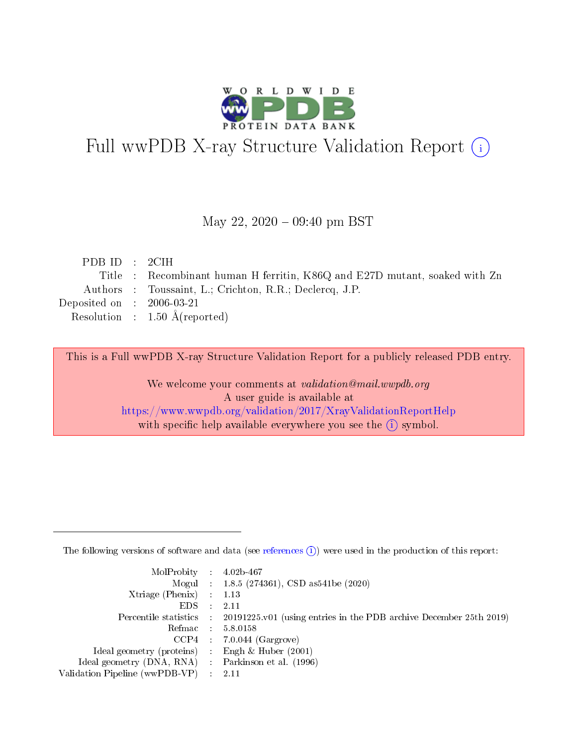

# Full wwPDB X-ray Structure Validation Report (i)

#### May 22,  $2020 - 09:40$  pm BST

| PDB ID : 2CIH               |                                                                            |
|-----------------------------|----------------------------------------------------------------------------|
|                             | Title : Recombinant human H ferritin, K86Q and E27D mutant, soaked with Zn |
|                             | Authors : Toussaint, L.; Crichton, R.R.; Declercq, J.P.                    |
| Deposited on : $2006-03-21$ |                                                                            |
|                             | Resolution : $1.50 \text{ Å}$ (reported)                                   |
|                             |                                                                            |

This is a Full wwPDB X-ray Structure Validation Report for a publicly released PDB entry.

We welcome your comments at validation@mail.wwpdb.org A user guide is available at <https://www.wwpdb.org/validation/2017/XrayValidationReportHelp> with specific help available everywhere you see the  $(i)$  symbol.

The following versions of software and data (see [references](https://www.wwpdb.org/validation/2017/XrayValidationReportHelp#references)  $(1)$ ) were used in the production of this report:

| $MolProbability$ : 4.02b-467                        |                                                                                              |
|-----------------------------------------------------|----------------------------------------------------------------------------------------------|
|                                                     | Mogul : 1.8.5 (274361), CSD as 541 be (2020)                                                 |
| Xtriage (Phenix) $: 1.13$                           |                                                                                              |
| $EDS$ :                                             | -2.11                                                                                        |
|                                                     | Percentile statistics : $20191225.v01$ (using entries in the PDB archive December 25th 2019) |
| Refmac : 5.8.0158                                   |                                                                                              |
|                                                     | $CCP4$ : 7.0.044 (Gargrove)                                                                  |
| Ideal geometry (proteins) :                         | Engh $\&$ Huber (2001)                                                                       |
| Ideal geometry (DNA, RNA) : Parkinson et al. (1996) |                                                                                              |
| Validation Pipeline (wwPDB-VP) : 2.11               |                                                                                              |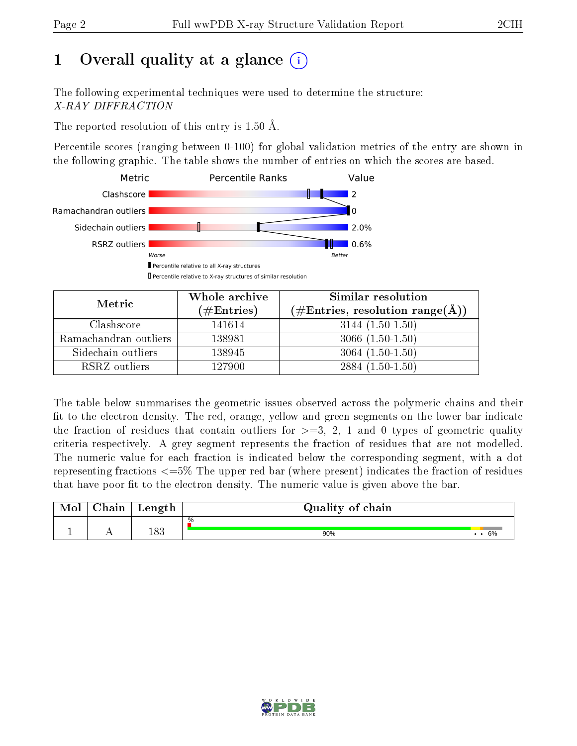# 1 [O](https://www.wwpdb.org/validation/2017/XrayValidationReportHelp#overall_quality)verall quality at a glance  $(i)$

The following experimental techniques were used to determine the structure: X-RAY DIFFRACTION

The reported resolution of this entry is 1.50 Å.

Percentile scores (ranging between 0-100) for global validation metrics of the entry are shown in the following graphic. The table shows the number of entries on which the scores are based.



| Metric                | Whole archive<br>$(\#\text{Entries})$ | Similar resolution<br>$(\#\text{Entries}, \text{resolution range}(\AA))$ |
|-----------------------|---------------------------------------|--------------------------------------------------------------------------|
| Clashscore            | 141614                                | $3144(1.50-1.50)$                                                        |
| Ramachandran outliers | 138981                                | $3066(1.50-1.50)$                                                        |
| Sidechain outliers    | 138945                                | $3064(1.50-1.50)$                                                        |
| RSRZ outliers         | 127900                                | $2884(1.50-1.50)$                                                        |

The table below summarises the geometric issues observed across the polymeric chains and their fit to the electron density. The red, orange, yellow and green segments on the lower bar indicate the fraction of residues that contain outliers for  $\geq=3$ , 2, 1 and 0 types of geometric quality criteria respectively. A grey segment represents the fraction of residues that are not modelled. The numeric value for each fraction is indicated below the corresponding segment, with a dot representing fractions  $\epsilon = 5\%$  The upper red bar (where present) indicates the fraction of residues that have poor fit to the electron density. The numeric value is given above the bar.

| $\gamma$ hain | Length | Quality of chain |           |
|---------------|--------|------------------|-----------|
|               |        | %                |           |
|               | 183    | 90%              | 6%<br>. . |

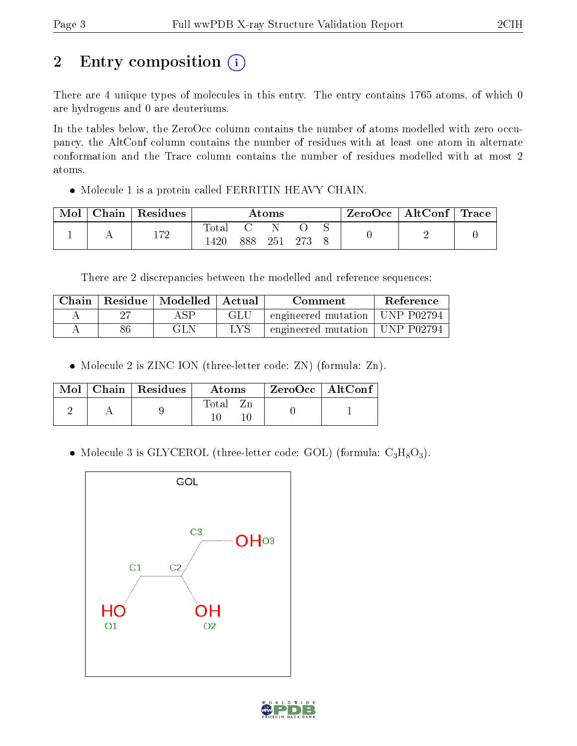# 2 Entry composition (i)

There are 4 unique types of molecules in this entry. The entry contains 1765 atoms, of which 0 are hydrogens and 0 are deuteriums.

In the tables below, the ZeroOcc column contains the number of atoms modelled with zero occupancy, the AltConf column contains the number of residues with at least one atom in alternate conformation and the Trace column contains the number of residues modelled with at most 2 atoms.

• Molecule 1 is a protein called FERRITIN HEAVY CHAIN.

| Mol | $\cap$ hain | Residues     | $\rm{Atoms}$ |     |     |  |  | ZeroOcc   AltConf   Trace |  |
|-----|-------------|--------------|--------------|-----|-----|--|--|---------------------------|--|
|     |             | 170<br>⊥ । ∠ | 'ota.        | 888 | 251 |  |  |                           |  |

There are 2 discrepancies between the modelled and reference sequences:

| Chain |    | $\perp$ Residue $\perp$ Modelled $\perp$ Actual |     | Comment                          | Reference |
|-------|----|-------------------------------------------------|-----|----------------------------------|-----------|
|       |    |                                                 | GLU | engineered mutation   UNP P02794 |           |
|       | 86 | GLN                                             | LYS | engineered mutation   UNP P02794 |           |

• Molecule 2 is ZINC ION (three-letter code: ZN) (formula: Zn).

|  | $Mol$   Chain   Residues | <b>Atoms</b> | $ZeroOcc \mid AltConf$ |  |
|--|--------------------------|--------------|------------------------|--|
|  |                          | Total        |                        |  |

• Molecule 3 is GLYCEROL (three-letter code: GOL) (formula:  $C_3H_8O_3$ ).



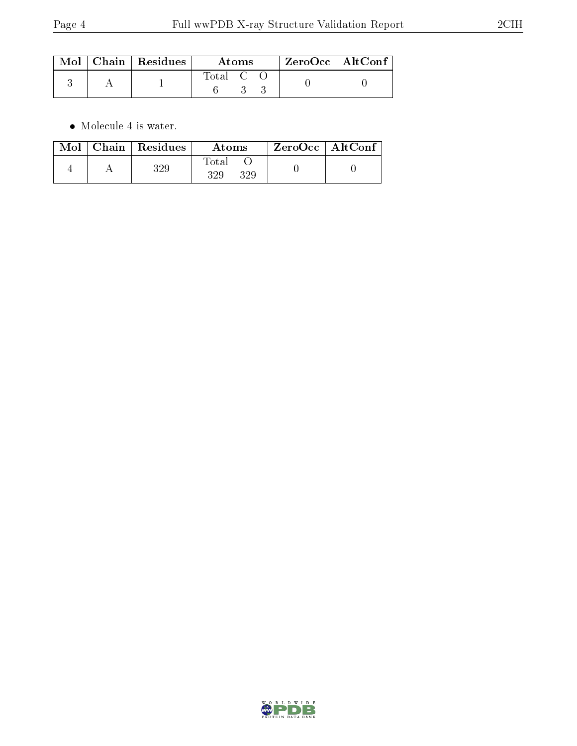|  | $\text{Mol}$   Chain   Residues | Atoms   |  |  | $ZeroOcc \mid AltConf \mid$ |
|--|---------------------------------|---------|--|--|-----------------------------|
|  |                                 | Total C |  |  |                             |

 $\bullet\,$  Molecule 4 is water.

| $\bf{Mol}$ | $Chain   Residues$ | Atoms               | $ZeroOcc \mid AltConf$ |
|------------|--------------------|---------------------|------------------------|
|            | 329                | Total<br>329<br>329 |                        |

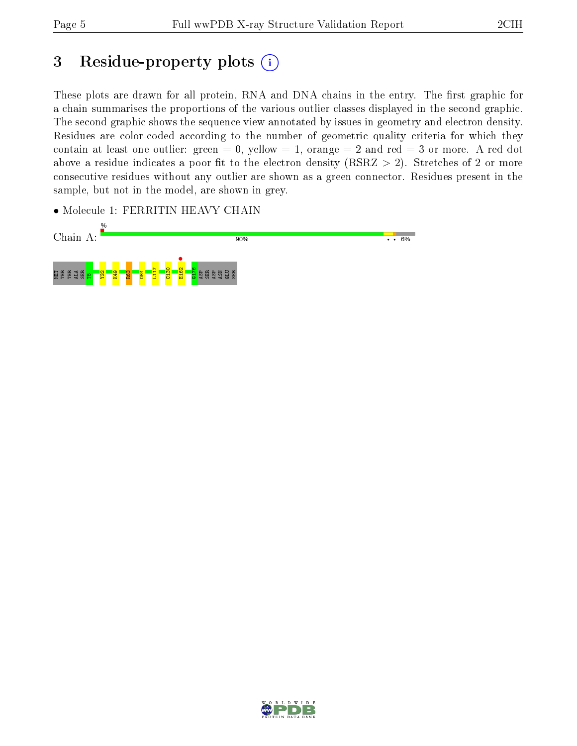# 3 Residue-property plots (i)

These plots are drawn for all protein, RNA and DNA chains in the entry. The first graphic for a chain summarises the proportions of the various outlier classes displayed in the second graphic. The second graphic shows the sequence view annotated by issues in geometry and electron density. Residues are color-coded according to the number of geometric quality criteria for which they contain at least one outlier: green  $= 0$ , yellow  $= 1$ , orange  $= 2$  and red  $= 3$  or more. A red dot above a residue indicates a poor fit to the electron density (RSRZ  $> 2$ ). Stretches of 2 or more consecutive residues without any outlier are shown as a green connector. Residues present in the sample, but not in the model, are shown in grey.

• Molecule 1: FERRITIN HEAVY CHAIN



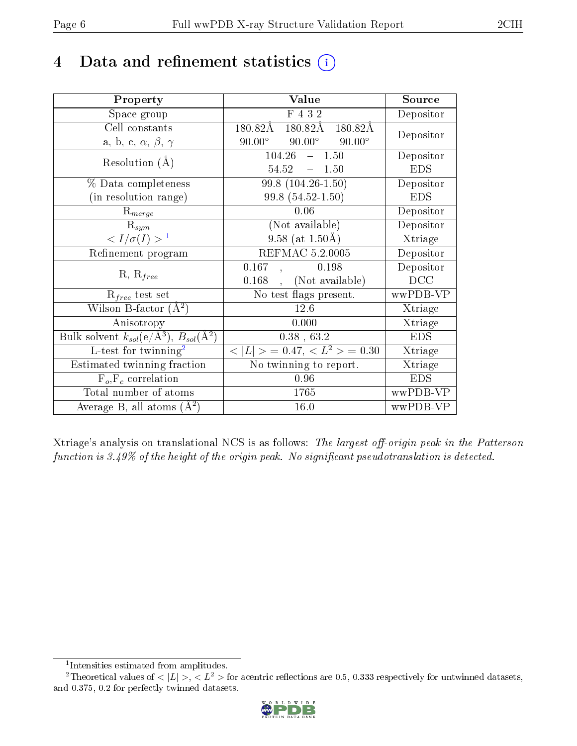# 4 Data and refinement statistics  $(i)$

| Property                                                                | Value                                           | Source     |
|-------------------------------------------------------------------------|-------------------------------------------------|------------|
| Space group                                                             | F 4 3 2                                         | Depositor  |
| Cell constants                                                          | 180.82Å<br>180.82Å<br>180.82Å                   | Depositor  |
| a, b, c, $\alpha$ , $\beta$ , $\gamma$                                  | $90.00^\circ$<br>$90.00^\circ$<br>$90.00^\circ$ |            |
| Resolution $(A)$                                                        | $104.26 - 1.50$                                 | Depositor  |
|                                                                         | 54.52<br>$-1.50$                                | <b>EDS</b> |
| % Data completeness                                                     | 99.8 (104.26-1.50)                              | Depositor  |
| (in resolution range)                                                   | 99.8 (54.52-1.50)                               | <b>EDS</b> |
| $R_{merge}$                                                             | 0.06                                            | Depositor  |
| $\mathrm{R}_{sym}$                                                      | (Not available)                                 | Depositor  |
| $\langle I/\sigma(I) \rangle^{-1}$                                      | 9.58 (at $1.50\text{\AA}$ )                     | Xtriage    |
| Refinement program                                                      | <b>REFMAC 5.2.0005</b>                          | Depositor  |
| $R, R_{free}$                                                           | 0.167<br>0.198                                  | Depositor  |
|                                                                         | (Not available)<br>0.168                        | DCC        |
| $\mathcal{R}_{free}$ test set                                           | No test flags present.                          | wwPDB-VP   |
| Wilson B-factor $(A^2)$                                                 | 12.6                                            | Xtriage    |
| Anisotropy                                                              | 0.000                                           | Xtriage    |
| Bulk solvent $k_{sol}(\mathrm{e}/\mathrm{A}^3),\,B_{sol}(\mathrm{A}^2)$ | $0.38$ , 63.2                                   | <b>EDS</b> |
| L-test for twinning <sup>2</sup>                                        | $< L >$ = 0.47, $< L^2 >$ = 0.30                | Xtriage    |
| Estimated twinning fraction                                             | No twinning to report.                          | Xtriage    |
| $F_o, F_c$ correlation                                                  | 0.96                                            | <b>EDS</b> |
| Total number of atoms                                                   | 1765                                            | wwPDB-VP   |
| Average B, all atoms $(A^2)$                                            | 16.0                                            | wwPDB-VP   |

Xtriage's analysis on translational NCS is as follows: The largest off-origin peak in the Patterson function is  $3.49\%$  of the height of the origin peak. No significant pseudotranslation is detected.

<sup>&</sup>lt;sup>2</sup>Theoretical values of  $\langle |L| \rangle$ ,  $\langle L^2 \rangle$  for acentric reflections are 0.5, 0.333 respectively for untwinned datasets, and 0.375, 0.2 for perfectly twinned datasets.



<span id="page-5-1"></span><span id="page-5-0"></span><sup>1</sup> Intensities estimated from amplitudes.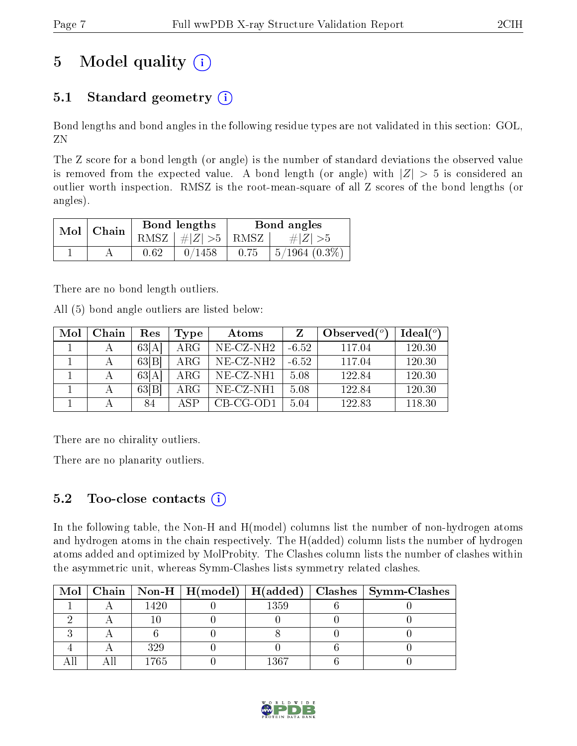# 5 Model quality  $(i)$

### 5.1 Standard geometry  $(i)$

Bond lengths and bond angles in the following residue types are not validated in this section: GOL, ZN

The Z score for a bond length (or angle) is the number of standard deviations the observed value is removed from the expected value. A bond length (or angle) with  $|Z| > 5$  is considered an outlier worth inspection. RMSZ is the root-mean-square of all Z scores of the bond lengths (or angles).

| Mol | Chain |      | Bond lengths                            | Bond angles |                    |  |
|-----|-------|------|-----------------------------------------|-------------|--------------------|--|
|     |       |      | RMSZ $\mid \#  Z  > 5 \mid$ RMSZ $\mid$ |             | $\# Z  > 5$        |  |
|     |       | 0.62 | 0/1458                                  | 0.75        | $5/1964$ $(0.3\%)$ |  |

There are no bond length outliers.

All (5) bond angle outliers are listed below:

| Mol | Chain | Res   | Type       | Atoms        |         | Observed $(°)$ | Ideal $(°)$ |
|-----|-------|-------|------------|--------------|---------|----------------|-------------|
|     |       | 63[A] | $\rm{ARG}$ | $NE- CZ-NH2$ | $-6.52$ | 117.04         | 120.30      |
|     | А     | 63 B  | $\rm{ARG}$ | $NE$ -CZ-NH2 | $-6.52$ | 117.04         | 120.30      |
|     | А     | 63[A] | $\rm{ARG}$ | $NE- CZ-NH1$ | 5.08    | 122.84         | 120.30      |
|     |       | 63 B  | $\rm{ARG}$ | NE-CZ-NH1    | 5.08    | 122.84         | 120.30      |
|     |       | 84    | ASP        | $CB-CG-OD1$  | 5.04    | 122.83         | 118.30      |

There are no chirality outliers.

There are no planarity outliers.

### 5.2 Too-close contacts  $(i)$

In the following table, the Non-H and H(model) columns list the number of non-hydrogen atoms and hydrogen atoms in the chain respectively. The H(added) column lists the number of hydrogen atoms added and optimized by MolProbity. The Clashes column lists the number of clashes within the asymmetric unit, whereas Symm-Clashes lists symmetry related clashes.

|  |      |      | Mol   Chain   Non-H   H(model)   H(added)   Clashes   Symm-Clashes |
|--|------|------|--------------------------------------------------------------------|
|  | 1420 | 1359 |                                                                    |
|  |      |      |                                                                    |
|  |      |      |                                                                    |
|  | 329  |      |                                                                    |
|  | -765 | 1367 |                                                                    |

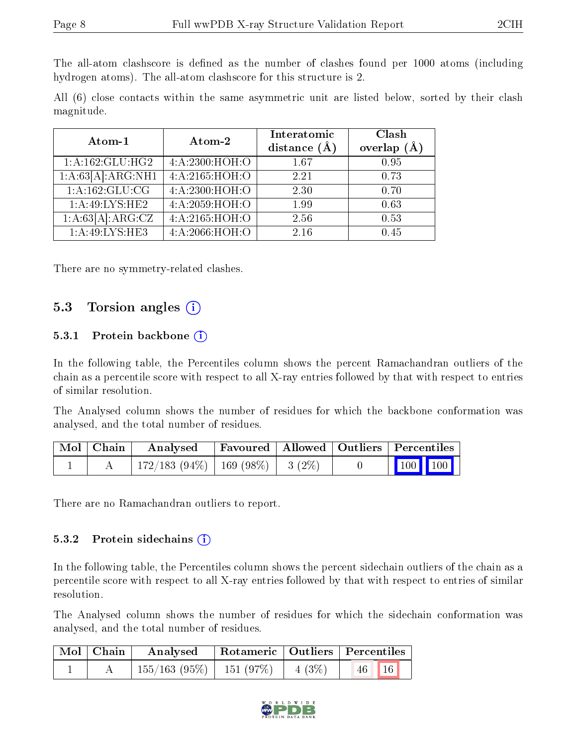The all-atom clashscore is defined as the number of clashes found per 1000 atoms (including hydrogen atoms). The all-atom clashscore for this structure is 2.

All (6) close contacts within the same asymmetric unit are listed below, sorted by their clash magnitude.

| Atom-1              | Atom-2         | Interatomic<br>distance $(A)$ | Clash<br>overlap<br>(A) |
|---------------------|----------------|-------------------------------|-------------------------|
| 1: A: 162: GLU: HG2 | 4:A:2300:HOH:O | 1.67                          | 0.95                    |
| 1:A:63[A]:ARG:NH1   | 4:A:2165:HOH:O | 2.21                          | 0.73                    |
| 1:A:162:GLU:CG      | 4:A:2300:HOH:O | 2.30                          | 0.70                    |
| 1: A:49: LYS: HE2   | 4:A:2059:HOH:O | 1.99                          | 0.63                    |
| 1:A:63[A]:ARG:CZ    | 4:A:2165:HOH:O | 2.56                          | 0.53                    |
| 1: A:49: LYS: HE3   | 4:A:2066:HOH:O | 2.16                          | 0.45                    |

There are no symmetry-related clashes.

### 5.3 Torsion angles  $(i)$

#### 5.3.1 Protein backbone  $(i)$

In the following table, the Percentiles column shows the percent Ramachandran outliers of the chain as a percentile score with respect to all X-ray entries followed by that with respect to entries of similar resolution.

The Analysed column shows the number of residues for which the backbone conformation was analysed, and the total number of residues.

| Mol   Chain | Analysed                                | Favoured   Allowed   Outliers   Percentiles |  |                             |  |
|-------------|-----------------------------------------|---------------------------------------------|--|-----------------------------|--|
|             | $172/183$ (94\%)   169 (98\%)   3 (2\%) |                                             |  | $\boxed{100}$ $\boxed{100}$ |  |

There are no Ramachandran outliers to report.

#### 5.3.2 Protein sidechains (i)

In the following table, the Percentiles column shows the percent sidechain outliers of the chain as a percentile score with respect to all X-ray entries followed by that with respect to entries of similar resolution.

The Analysed column shows the number of residues for which the sidechain conformation was analysed, and the total number of residues.

| Mol Chain | Analysed                      |                   | Rotameric   Outliers   Percentiles |  |
|-----------|-------------------------------|-------------------|------------------------------------|--|
|           | $155/163$ (95\%)   151 (97\%) | $\vert 4 \ (3\%)$ | $46$   16                          |  |

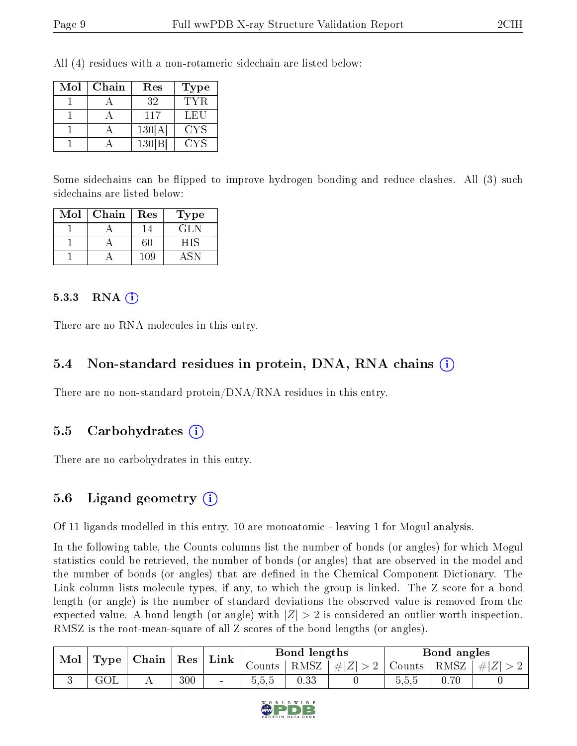All (4) residues with a non-rotameric sidechain are listed below:

| Mol | Chain | Res    | Type |
|-----|-------|--------|------|
|     |       | 32     | TYR  |
|     |       | 117    | LEU  |
|     |       | 130[A] | CYS  |
|     |       | 130 B  | CYS  |

Some sidechains can be flipped to improve hydrogen bonding and reduce clashes. All (3) such sidechains are listed below:

| Mol | Chain | Res | $_{\rm Type}$ |
|-----|-------|-----|---------------|
|     |       |     | GLN           |
|     |       | 60  | HIS           |
|     |       | 109 |               |

#### 5.3.3 RNA  $(i)$

There are no RNA molecules in this entry.

#### 5.4 Non-standard residues in protein, DNA, RNA chains  $(i)$

There are no non-standard protein/DNA/RNA residues in this entry.

#### 5.5 Carbohydrates (i)

There are no carbohydrates in this entry.

#### 5.6 Ligand geometry  $(i)$

Of 11 ligands modelled in this entry, 10 are monoatomic - leaving 1 for Mogul analysis.

In the following table, the Counts columns list the number of bonds (or angles) for which Mogul statistics could be retrieved, the number of bonds (or angles) that are observed in the model and the number of bonds (or angles) that are defined in the Chemical Component Dictionary. The Link column lists molecule types, if any, to which the group is linked. The Z score for a bond length (or angle) is the number of standard deviations the observed value is removed from the expected value. A bond length (or angle) with  $|Z| > 2$  is considered an outlier worth inspection. RMSZ is the root-mean-square of all Z scores of the bond lengths (or angles).

| Mol | $\mid$ Type $\mid$ Chain $\mid$ Res |  |     | $^{\shortmid}$ Link | Bond lengths |      |                                                    | Bond angles |      |  |
|-----|-------------------------------------|--|-----|---------------------|--------------|------|----------------------------------------------------|-------------|------|--|
|     |                                     |  |     |                     | Counts       |      | $ RMSZ $ # $ Z  > 2$   Counts   RMSZ   # $ Z  > 2$ |             |      |  |
|     | $\rm GOL$                           |  | 300 | $\sim$              | 0.5.5        | 0.33 |                                                    | 5.5.5       | 0.70 |  |

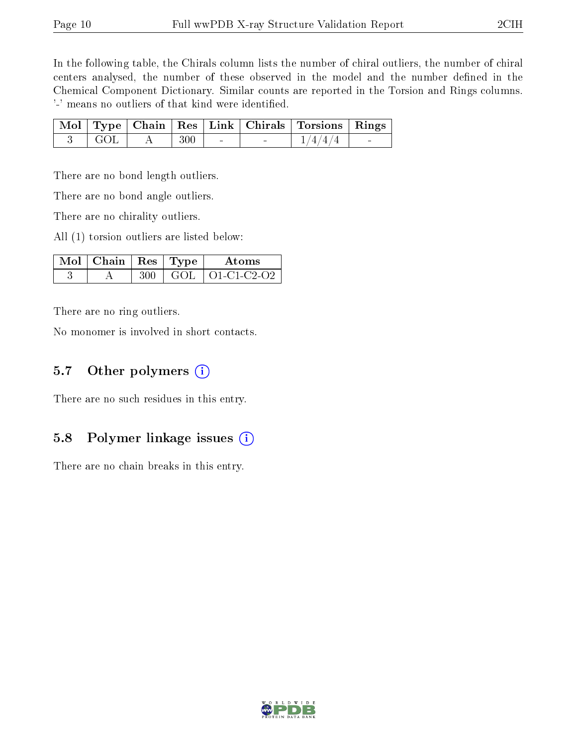In the following table, the Chirals column lists the number of chiral outliers, the number of chiral centers analysed, the number of these observed in the model and the number defined in the Chemical Component Dictionary. Similar counts are reported in the Torsion and Rings columns. '-' means no outliers of that kind were identified.

|                 |     |  | Mol   Type   Chain   Res   Link   Chirals   Torsions   Rings |  |
|-----------------|-----|--|--------------------------------------------------------------|--|
| $\parallel$ GOL | 300 |  | 1/4/4/4                                                      |  |

There are no bond length outliers.

There are no bond angle outliers.

There are no chirality outliers.

All (1) torsion outliers are listed below:

| $\sqrt{\text{Mol}}$   Chain   Res   Type ' |      | Atoms               |
|--------------------------------------------|------|---------------------|
|                                            | GOL. | $+$ O1-C1-C2-O2 $-$ |

There are no ring outliers.

No monomer is involved in short contacts.

### 5.7 [O](https://www.wwpdb.org/validation/2017/XrayValidationReportHelp#nonstandard_residues_and_ligands)ther polymers (i)

There are no such residues in this entry.

#### 5.8 Polymer linkage issues (i)

There are no chain breaks in this entry.

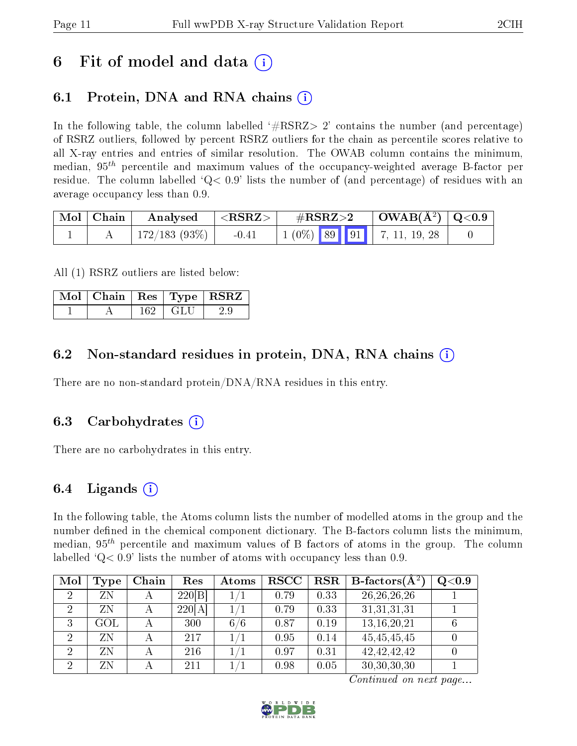## 6 Fit of model and data  $\left( \cdot \right)$

### 6.1 Protein, DNA and RNA chains (i)

In the following table, the column labelled  $#RSRZ>2'$  contains the number (and percentage) of RSRZ outliers, followed by percent RSRZ outliers for the chain as percentile scores relative to all X-ray entries and entries of similar resolution. The OWAB column contains the minimum, median,  $95<sup>th</sup>$  percentile and maximum values of the occupancy-weighted average B-factor per residue. The column labelled  $Q < 0.9$  lists the number of (and percentage) of residues with an average occupancy less than 0.9.

| Mol   Chain | Analysed        | ${ <\hspace{-1.5pt} {\rm RSRZ} \hspace{-1.5pt}>}$ | $\rm \#RSRZ{>}2$                                                                                   | $\mid$ OWAB(Å <sup>2</sup> ) $\mid$ Q<0.9 $\mid$ |  |
|-------------|-----------------|---------------------------------------------------|----------------------------------------------------------------------------------------------------|--------------------------------------------------|--|
|             | $172/183(93\%)$ | $-0.41$                                           | $\begin{array}{ c c c c c c c c c } \hline 1 & 0\% & 89 & 91 & 7, 11, 19, 28 \ \hline \end{array}$ |                                                  |  |

All (1) RSRZ outliers are listed below:

| $\vert$ Mol $\vert$ Chain $\vert$ Res $\vert$ Type $\vert$ RSRZ |      |  |
|-----------------------------------------------------------------|------|--|
|                                                                 | GLI. |  |

### 6.2 Non-standard residues in protein, DNA, RNA chains (i)

There are no non-standard protein/DNA/RNA residues in this entry.

#### 6.3 Carbohydrates (i)

There are no carbohydrates in this entry.

### 6.4 Ligands  $(i)$

In the following table, the Atoms column lists the number of modelled atoms in the group and the number defined in the chemical component dictionary. The B-factors column lists the minimum, median,  $95<sup>th</sup>$  percentile and maximum values of B factors of atoms in the group. The column labelled  $Q < 0.9$ ' lists the number of atoms with occupancy less than 0.9.

| Mol | Type | Chain | Res    | Atoms | <b>RSCC</b> | $_{\rm RSR}$ | <b>B</b> -factors( $\overline{A^2}$ ) | $\rm Q\textcolor{black}{<}0.9$ |
|-----|------|-------|--------|-------|-------------|--------------|---------------------------------------|--------------------------------|
|     | ΖN   |       | 220 B  |       | 0.79        | 0.33         | 26, 26, 26, 26                        |                                |
|     | ΖN   |       | 220[A] |       | 0.79        | 0.33         | 31,31,31,31                           |                                |
| 3   | GOL  |       | 300    | 6/6   | 0.87        | 0.19         | 13, 16, 20, 21                        |                                |
|     | ΖN   |       | 217    |       | 0.95        | 0.14         | 45, 45, 45, 45                        |                                |
| 2   | ZN   |       | 216    |       | 0.97        | 0.31         | 42, 42, 42, 42                        |                                |
| 9   | ΖN   |       | 211    |       | 0.98        | 0.05         | 30, 30, 30, 30                        |                                |

Continued on next page...